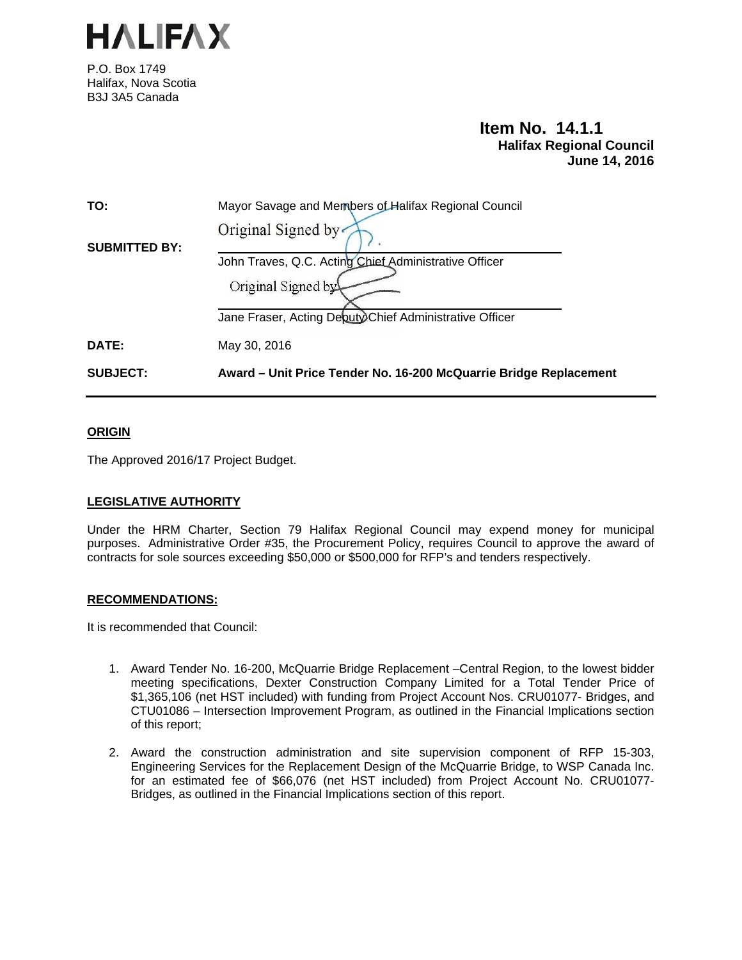

P.O. Box 1749 Halifax, Nova Scotia B3J 3A5 Canada

# **Item No. 14.1.1 Halifax Regional Council June 14, 2016**

| <b>SUBJECT:</b>      | Award – Unit Price Tender No. 16-200 McQuarrie Bridge Replacement |
|----------------------|-------------------------------------------------------------------|
| DATE:                | May 30, 2016                                                      |
|                      | Jane Fraser, Acting Deputy Chief Administrative Officer           |
|                      | Original Signed by                                                |
|                      | John Traves, Q.C. Acting Chief Administrative Officer             |
| <b>SUBMITTED BY:</b> | Original Signed by                                                |
| TO:                  | Mayor Savage and Members of Halifax Regional Council              |
|                      |                                                                   |

# **ORIGIN**

The Approved 2016/17 Project Budget.

### **LEGISLATIVE AUTHORITY**

Under the HRM Charter, Section 79 Halifax Regional Council may expend money for municipal purposes. Administrative Order #35, the Procurement Policy, requires Council to approve the award of contracts for sole sources exceeding \$50,000 or \$500,000 for RFP's and tenders respectively.

# **RECOMMENDATIONS:**

It is recommended that Council:

- 1. Award Tender No. 16-200, McQuarrie Bridge Replacement –Central Region, to the lowest bidder meeting specifications, Dexter Construction Company Limited for a Total Tender Price of \$1,365,106 (net HST included) with funding from Project Account Nos. CRU01077- Bridges, and CTU01086 – Intersection Improvement Program, as outlined in the Financial Implications section of this report;
- 2. Award the construction administration and site supervision component of RFP 15-303, Engineering Services for the Replacement Design of the McQuarrie Bridge, to WSP Canada Inc. for an estimated fee of \$66,076 (net HST included) from Project Account No. CRU01077- Bridges, as outlined in the Financial Implications section of this report.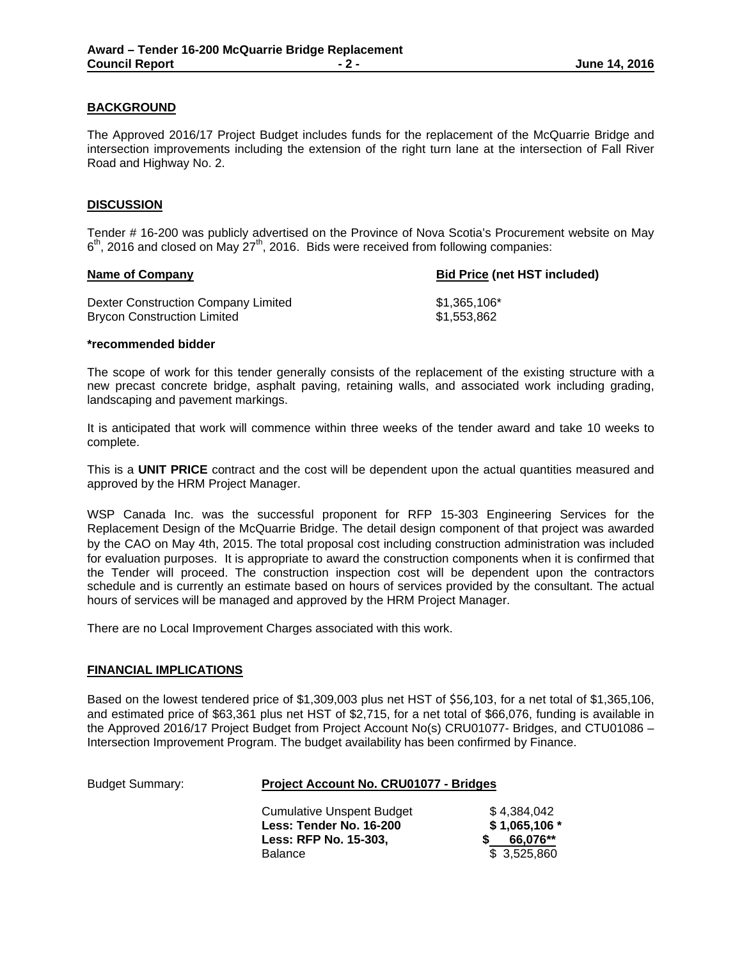# **BACKGROUND**

The Approved 2016/17 Project Budget includes funds for the replacement of the McQuarrie Bridge and intersection improvements including the extension of the right turn lane at the intersection of Fall River Road and Highway No. 2.

# **DISCUSSION**

Tender # 16-200 was publicly advertised on the Province of Nova Scotia's Procurement website on May  $6<sup>th</sup>$ , 2016 and closed on May 27<sup>th</sup>, 2016. Bids were received from following companies:

| Name of Company                     | <b>Bid Price (net HST included)</b> |  |
|-------------------------------------|-------------------------------------|--|
| Dexter Construction Company Limited | \$1.365.106*                        |  |
| <b>Brycon Construction Limited</b>  | \$1.553.862                         |  |

#### **\*recommended bidder**

The scope of work for this tender generally consists of the replacement of the existing structure with a new precast concrete bridge, asphalt paving, retaining walls, and associated work including grading, landscaping and pavement markings.

It is anticipated that work will commence within three weeks of the tender award and take 10 weeks to complete.

This is a **UNIT PRICE** contract and the cost will be dependent upon the actual quantities measured and approved by the HRM Project Manager.

WSP Canada Inc. was the successful proponent for RFP 15-303 Engineering Services for the Replacement Design of the McQuarrie Bridge. The detail design component of that project was awarded by the CAO on May 4th, 2015. The total proposal cost including construction administration was included for evaluation purposes. It is appropriate to award the construction components when it is confirmed that the Tender will proceed. The construction inspection cost will be dependent upon the contractors schedule and is currently an estimate based on hours of services provided by the consultant. The actual hours of services will be managed and approved by the HRM Project Manager.

There are no Local Improvement Charges associated with this work.

### **FINANCIAL IMPLICATIONS**

Based on the lowest tendered price of \$1,309,003 plus net HST of \$56,103, for a net total of \$1,365,106, and estimated price of \$63,361 plus net HST of \$2,715, for a net total of \$66,076, funding is available in the Approved 2016/17 Project Budget from Project Account No(s) CRU01077- Bridges, and CTU01086 – Intersection Improvement Program. The budget availability has been confirmed by Finance.

### Budget Summary: **Project Account No. CRU01077 - Bridges**

|                       | \$4.384.042<br>Cumulative Unspent Budget |
|-----------------------|------------------------------------------|
|                       | $$1,065,106*$<br>Less: Tender No. 16-200 |
| Less: RFP No. 15-303. | 66.076**                                 |
| <b>Balance</b>        | \$ 3.525.860                             |